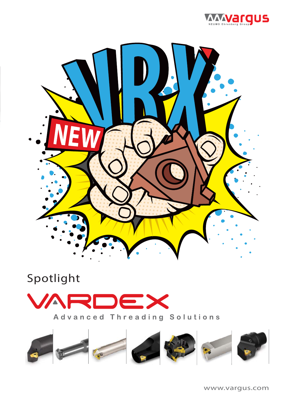



## Spotlight





www.vargus.com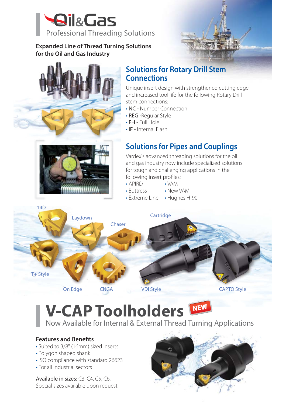

### **Expanded Line of Thread Turning Solutions for the Oil and Gas Industry**





### **Solutions for Rotary Drill Stem Connections**

Unique insert design with strengthened cutting edge and increased tool life for the following Rotary Drill stem connections:

- NC Number Connection
- REG -Regular Style
- FH Full Hole
- IF Internal Flash



## **Solutions for Pipes and Couplings**

Vardex's advanced threading solutions for the oil and gas industry now include specialized solutions for tough and challenging applications in the following insert profiles:

- APIRD
- Buttress • New VAM

• VAM

• Extreme Line • Hughes H-90



## **V-CAP Toolholders**  Now Available for Internal & External Thread Turning Applications

### **Features and Benefits**

- Suited to 3/8" (16mm) sized inserts
- Polygon shaped shank
- ISO compliance with standard 26623
- For all industrial sectors

Available in sizes: C3, C4, C5, C6. Special sizes available upon request.

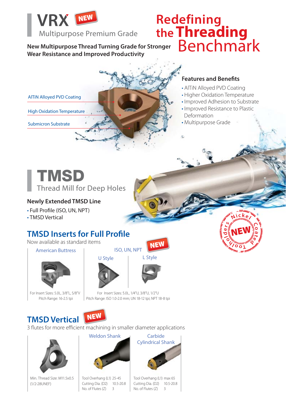

**New Multipurpose Thread Turning Grade for Stronger Wear Resistance and Improved Productivity Productivity hread T**

# **Redefining the Threading** Benchmark



### **Features and Benefits Feat Fe**

- AlTiN Alloyed PVD Coating AlTi
- Higher Oxidation Temperature Hig
- Improved Adhesion to Substrate Imp
- Improved Resistance to Plastic Imp **Deformation**
- Multipurpose Grade Mul

Submicron Substrate



### **Newly Extended TMSD Line**

- Full Profile (ISO, UN, NPT)
- TMSD Vertical

### **TMSD Inserts for Full Profile**

Now available as standard items

American Buttress



For Insert Sizes: 5.0L, 3/8"L, 5/8"V Pitch Range: 16-2.5 tpi



L Style

**NEW** 

For Insert Sizes: 5.0L, 1/4"U, 3/8"U, 1/2"U For Insert Sizes: 5 Pitch Range: ISO 1.0-2.0 mm; UN 18-12 tpi; NPT 18-8 tpi

ISO, UN, NPT

## **TMSD Vertical NEW**



3 flutes for more efficient machining in smaller diameter applications



Min. Thread Size: M11.5x0.5 (1/2-28UNEF)



Tool Overhang (L1) 25-45 Cutting Dia. (D2) 10.5-20.8 No. of Flutes  $(Z)$  3



Tool Overhang (L1) max 65 Cutting Dia. (D2) 10.5-20.8 No. of Flutes (Z) 3

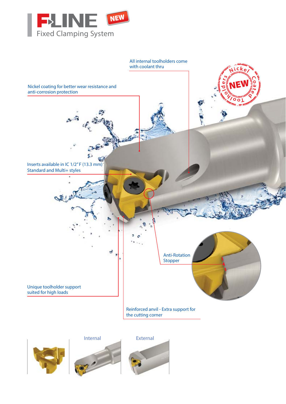

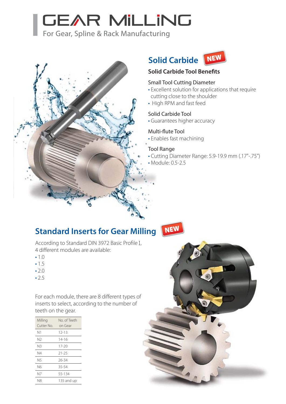# **GEAR MILLING**

For Gear, Spline & Rack Manufacturing



## **Solid Carbide NEW**



**Solid Carbide Tool Benefits**

### Small Tool Cutting Diameter

- Excellent solution for applications that require cutting close to the shoulder
- High RPM and fast feed

#### Solid Carbide Tool

• Guarantees higher accuracy

#### Multi-flute Tool

• Enables fast machining

#### Tool Range

- Cutting Diameter Range: 5.9-19.9 mm (.17"-.75")
- Module: 0.5-2.5

### **Standard Inserts for Gear Milling**

**NEW** 



- 1.0
- 1.5
- 2.0
- $.25$

For each module, there are 8 different types of inserts to select, according to the number of teeth on the gear.

| Milling<br>Cutter No. | No. of Teeth<br>on Gear |
|-----------------------|-------------------------|
| Ν1                    | $12 - 13$               |
| N2                    | 14-16                   |
| N3                    | $17 - 20$               |
| N4                    | $21 - 25$               |
| N5                    | 26-34                   |
| N6                    | 35-54                   |
| N7                    | 55-134                  |
| N8                    | 135 and up              |